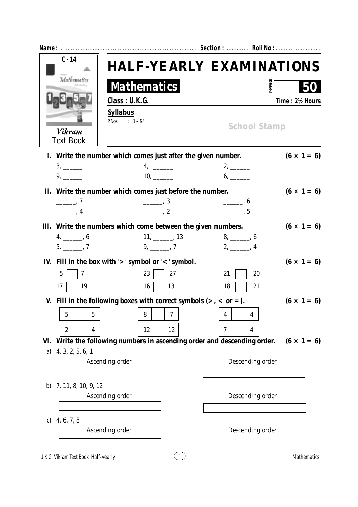|           | $C - 14$                                                               |                          |                     | <b>HALF-YEARLY EXAMINATIONS</b>                                      |                    |
|-----------|------------------------------------------------------------------------|--------------------------|---------------------|----------------------------------------------------------------------|--------------------|
|           | Mathematics                                                            | <b>Mathematics</b>       |                     | <b>MARK</b>                                                          |                    |
|           |                                                                        | Class: U.K.G.            |                     |                                                                      | Time: 2½ Hours     |
|           |                                                                        | <b>Syllabus</b>          |                     |                                                                      |                    |
|           | <b>Vikram</b><br><b>Text Book</b>                                      | P.Nos. : $1 - 94$        |                     | <b>School Stamp</b>                                                  |                    |
|           | I. Write the number which comes just after the given number.           |                          |                     |                                                                      | $(6 \times 1 = 6)$ |
|           | $3, \underline{\hspace{1cm}}$                                          | $4, \_\_$                |                     | $2, \underline{\qquad}$                                              |                    |
|           | $9, \underline{\hspace{1cm}}$                                          | 10,                      |                     | $6, \underline{\hspace{1cm}}$                                        |                    |
|           | II. Write the number which comes just before the number.               |                          |                     |                                                                      | $(6 \times 1 = 6)$ |
|           | $\frac{1}{\sqrt{2}}$ , 7                                               | $\frac{1}{\sqrt{2}}$ , 3 |                     | $\frac{1}{\sqrt{1-\frac{1}{2}}}\times 6$                             |                    |
|           | $\frac{1}{\sqrt{1-\frac{1}{2}}}\times 4$                               | $\frac{1}{2}$ , 2        |                     | , 5                                                                  |                    |
|           | III. Write the numbers which come between the given numbers.           |                          |                     |                                                                      | $(6 \times 1 = 6)$ |
|           | $4, \underline{\hspace{1cm}} 6$                                        |                          | $11, \_\_\_\_$ , 13 | $8, \underline{\hspace{1cm}} 6$                                      |                    |
|           | $5, \_\_$ , 7                                                          | $9, \_\_\_$ , 7          |                     | $2, \underline{\hspace{1cm}} 4$                                      |                    |
|           | IV. Fill in the box with $\mathcal{V}$ symbol or $\mathcal{V}$ symbol. |                          |                     |                                                                      | $(6 \times 1 = 6)$ |
|           | $\overline{5}$<br>7                                                    | 23                       | 27                  | 21<br>20                                                             |                    |
|           | 17<br>19                                                               | 16                       | 13                  | 21<br>18                                                             |                    |
|           | V. Fill in the following boxes with correct symbols $(>, <$ or =).     |                          |                     |                                                                      | $(6 \times 1 = 6)$ |
|           | ა<br>ა                                                                 | 8                        | 7                   | 4<br>4                                                               |                    |
|           |                                                                        |                          |                     |                                                                      |                    |
|           | 2<br>4                                                                 | 12                       | 12                  | 7<br>4                                                               |                    |
| VI.<br>a) | 4, 3, 2, 5, 6, 1                                                       |                          |                     | Write the following numbers in ascending order and descending order. | $(6 \times 1 = 6)$ |
|           |                                                                        | Ascending order          |                     | Descending order                                                     |                    |
|           |                                                                        |                          |                     |                                                                      |                    |
| b)        | 7, 11, 8, 10, 9, 12                                                    |                          |                     |                                                                      |                    |
|           |                                                                        | Ascending order          |                     | Descending order                                                     |                    |
|           |                                                                        |                          |                     |                                                                      |                    |
| C)        | 4, 6, 7, 8                                                             |                          |                     |                                                                      |                    |
|           |                                                                        | Ascending order          |                     | Descending order                                                     |                    |
|           |                                                                        |                          |                     |                                                                      |                    |
|           | U.K.G. Vikram Text Book Half-yearly                                    |                          | $\mathbf{1}$        |                                                                      | Mathematics        |